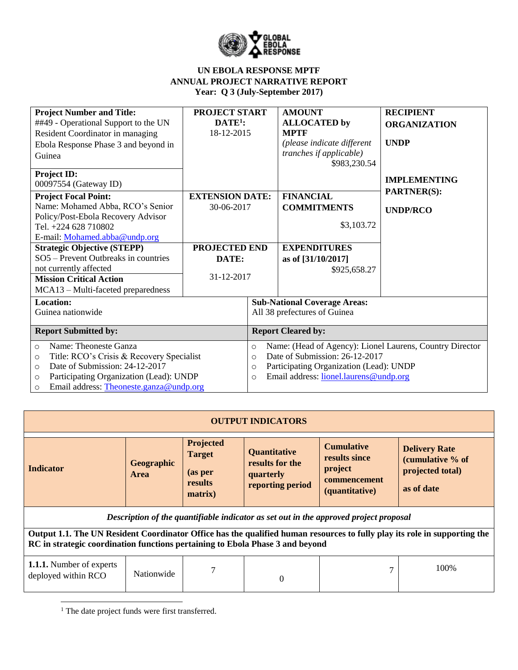

| <b>Project Number and Title:</b><br>##49 - Operational Support to the UN<br>Resident Coordinator in managing<br>Ebola Response Phase 3 and beyond in<br>Guinea                                                                                     | <b>PROJECT START</b><br>$DATE1$ :<br>18-12-2015       |                                                                                                                                                                                                                              | <b>AMOUNT</b><br><b>ALLOCATED</b> by<br><b>MPTF</b><br>(please indicate different<br>tranches if applicable)<br>\$983,230.54 | <b>RECIPIENT</b><br><b>ORGANIZATION</b><br><b>UNDP</b> |
|----------------------------------------------------------------------------------------------------------------------------------------------------------------------------------------------------------------------------------------------------|-------------------------------------------------------|------------------------------------------------------------------------------------------------------------------------------------------------------------------------------------------------------------------------------|------------------------------------------------------------------------------------------------------------------------------|--------------------------------------------------------|
| <b>Project ID:</b><br>00097554 (Gateway ID)                                                                                                                                                                                                        |                                                       |                                                                                                                                                                                                                              |                                                                                                                              | <b>IMPLEMENTING</b>                                    |
| <b>Project Focal Point:</b><br>Name: Mohamed Abba, RCO's Senior<br>Policy/Post-Ebola Recovery Advisor<br>Tel. +224 628 710802<br>E-mail: Mohamed.abba@undp.org<br><b>Strategic Objective (STEPP)</b>                                               | <b>EXTENSION DATE:</b><br>30-06-2017<br>PROJECTED END |                                                                                                                                                                                                                              | <b>FINANCIAL</b><br><b>COMMITMENTS</b><br>\$3,103.72<br><b>EXPENDITURES</b>                                                  | <b>PARTNER(S):</b><br><b>UNDP/RCO</b>                  |
| SO5 – Prevent Outbreaks in countries<br>not currently affected<br><b>Mission Critical Action</b><br>MCA13 - Multi-faceted preparedness                                                                                                             | DATE:<br>31-12-2017                                   |                                                                                                                                                                                                                              | as of [31/10/2017]<br>\$925,658.27                                                                                           |                                                        |
| <b>Location:</b><br>Guinea nationwide                                                                                                                                                                                                              |                                                       | <b>Sub-National Coverage Areas:</b><br>All 38 prefectures of Guinea                                                                                                                                                          |                                                                                                                              |                                                        |
| <b>Report Submitted by:</b>                                                                                                                                                                                                                        |                                                       | <b>Report Cleared by:</b>                                                                                                                                                                                                    |                                                                                                                              |                                                        |
| Name: Theoneste Ganza<br>$\Omega$<br>Title: RCO's Crisis & Recovery Specialist<br>$\circ$<br>Date of Submission: 24-12-2017<br>$\circ$<br>Participating Organization (Lead): UNDP<br>$\circ$<br>Email address: Theoneste.ganza@undp.org<br>$\circ$ |                                                       | Name: (Head of Agency): Lionel Laurens, Country Director<br>$\circ$<br>Date of Submission: 26-12-2017<br>$\Omega$<br>Participating Organization (Lead): UNDP<br>$\circ$<br>Email address: lionel.laurens@undp.org<br>$\circ$ |                                                                                                                              |                                                        |

| <b>OUTPUT INDICATORS</b>                                                                                                                                                                                   |                                                                                          |  |                                                                         |                                                                                 |                                                                            |  |
|------------------------------------------------------------------------------------------------------------------------------------------------------------------------------------------------------------|------------------------------------------------------------------------------------------|--|-------------------------------------------------------------------------|---------------------------------------------------------------------------------|----------------------------------------------------------------------------|--|
| <b>Indicator</b>                                                                                                                                                                                           | Projected<br><b>Target</b><br>Geographic<br>(as per<br><b>Area</b><br>results<br>matrix) |  | <b>Quantitative</b><br>results for the<br>quarterly<br>reporting period | <b>Cumulative</b><br>results since<br>project<br>commencement<br>(quantitative) | <b>Delivery Rate</b><br>(cumulative % of<br>projected total)<br>as of date |  |
| Description of the quantifiable indicator as set out in the approved project proposal                                                                                                                      |                                                                                          |  |                                                                         |                                                                                 |                                                                            |  |
| Output 1.1. The UN Resident Coordinator Office has the qualified human resources to fully play its role in supporting the<br>RC in strategic coordination functions pertaining to Ebola Phase 3 and beyond |                                                                                          |  |                                                                         |                                                                                 |                                                                            |  |
| <b>1.1.1.</b> Number of experts<br>deployed within RCO                                                                                                                                                     | Nationwide                                                                               |  | $\theta$                                                                | $\mathcal{I}$                                                                   | 100\%                                                                      |  |

<sup>1</sup> The date project funds were first transferred.

 $\overline{\phantom{a}}$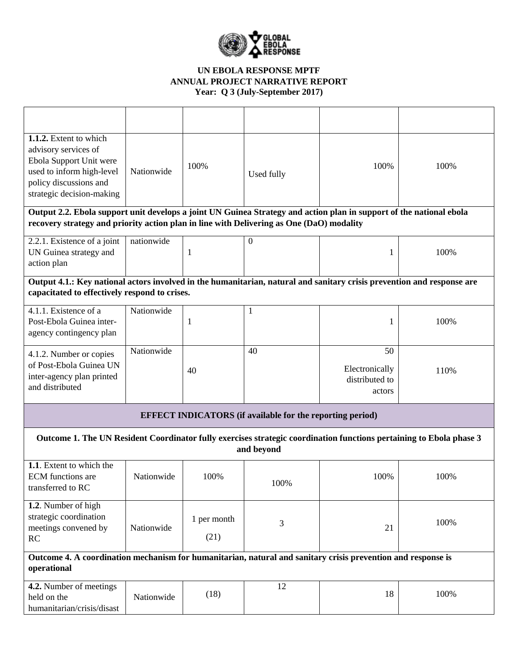

| 1.1.2. Extent to which<br>advisory services of<br>Ebola Support Unit were<br>used to inform high-level<br>policy discussions and<br>strategic decision-making                                                   | Nationwide | 100%                | Used fully       | 100%                                             | 100% |  |
|-----------------------------------------------------------------------------------------------------------------------------------------------------------------------------------------------------------------|------------|---------------------|------------------|--------------------------------------------------|------|--|
| Output 2.2. Ebola support unit develops a joint UN Guinea Strategy and action plan in support of the national ebola<br>recovery strategy and priority action plan in line with Delivering as One (DaO) modality |            |                     |                  |                                                  |      |  |
|                                                                                                                                                                                                                 |            |                     |                  |                                                  |      |  |
| 2.2.1. Existence of a joint<br>UN Guinea strategy and<br>action plan                                                                                                                                            | nationwide | $\mathbf{1}$        | $\boldsymbol{0}$ | 1                                                | 100% |  |
| Output 4.1.: Key national actors involved in the humanitarian, natural and sanitary crisis prevention and response are<br>capacitated to effectively respond to crises.                                         |            |                     |                  |                                                  |      |  |
| 4.1.1. Existence of a<br>Post-Ebola Guinea inter-<br>agency contingency plan                                                                                                                                    | Nationwide | $\mathbf{1}$        | 1                | 1                                                | 100% |  |
| 4.1.2. Number or copies<br>of Post-Ebola Guinea UN<br>inter-agency plan printed<br>and distributed                                                                                                              | Nationwide | 40                  | 40               | 50<br>Electronically<br>distributed to<br>actors | 110% |  |
| <b>EFFECT INDICATORS</b> (if available for the reporting period)                                                                                                                                                |            |                     |                  |                                                  |      |  |
| Outcome 1. The UN Resident Coordinator fully exercises strategic coordination functions pertaining to Ebola phase 3<br>and beyond                                                                               |            |                     |                  |                                                  |      |  |
| 1.1. Extent to which the<br><b>ECM</b> functions are<br>transferred to RC                                                                                                                                       | Nationwide | 100%                | 100%             | 100%                                             | 100% |  |
| 1.2. Number of high<br>strategic coordination<br>meetings convened by<br>RC                                                                                                                                     | Nationwide | 1 per month<br>(21) | 3                | 21                                               | 100% |  |
| Outcome 4. A coordination mechanism for humanitarian, natural and sanitary crisis prevention and response is<br>operational                                                                                     |            |                     |                  |                                                  |      |  |
| 4.2. Number of meetings<br>held on the<br>humanitarian/crisis/disast                                                                                                                                            | Nationwide | (18)                | 12               | 18                                               | 100% |  |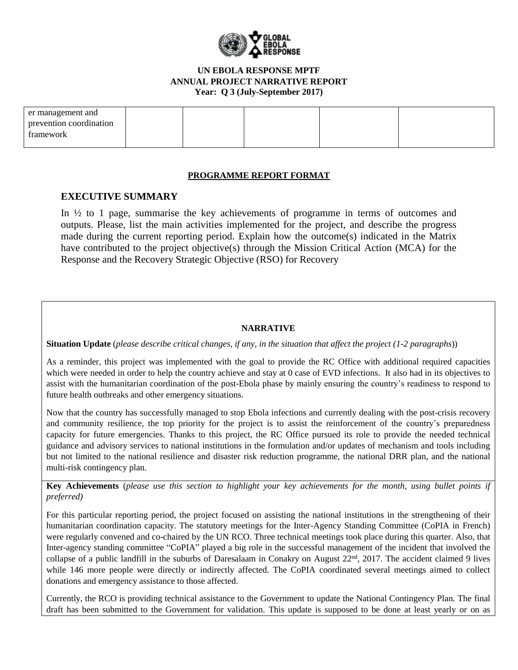

| er management and       |  |  |  |
|-------------------------|--|--|--|
| prevention coordination |  |  |  |
| tramework               |  |  |  |
|                         |  |  |  |

#### **PROGRAMME REPORT FORMAT**

## **EXECUTIVE SUMMARY**

In ½ to 1 page, summarise the key achievements of programme in terms of outcomes and outputs. Please, list the main activities implemented for the project, and describe the progress made during the current reporting period. Explain how the outcome(s) indicated in the Matrix have contributed to the project objective(s) through the Mission Critical Action (MCA) for the Response and the Recovery Strategic Objective (RSO) for Recovery

### **NARRATIVE**

**Situation Update** (*please describe critical changes, if any, in the situation that affect the project (1-2 paragraphs*))

As a reminder, this project was implemented with the goal to provide the RC Office with additional required capacities which were needed in order to help the country achieve and stay at 0 case of EVD infections. It also had in its objectives to assist with the humanitarian coordination of the post-Ebola phase by mainly ensuring the country's readiness to respond to future health outbreaks and other emergency situations.

Now that the country has successfully managed to stop Ebola infections and currently dealing with the post-crisis recovery and community resilience, the top priority for the project is to assist the reinforcement of the country's preparedness capacity for future emergencies. Thanks to this project, the RC Office pursued its role to provide the needed technical guidance and advisory services to national institutions in the formulation and/or updates of mechanism and tools including but not limited to the national resilience and disaster risk reduction programme, the national DRR plan, and the national multi-risk contingency plan.

**Key Achievements** (*please use this section to highlight your key achievements for the month, using bullet points if preferred)*

For this particular reporting period, the project focused on assisting the national institutions in the strengthening of their humanitarian coordination capacity. The statutory meetings for the Inter-Agency Standing Committee (CoPIA in French) were regularly convened and co-chaired by the UN RCO. Three technical meetings took place during this quarter. Also, that Inter-agency standing committee "CoPIA" played a big role in the successful management of the incident that involved the collapse of a public landfill in the suburbs of Daresalaam in Conakry on August 22<sup>nd</sup>, 2017. The accident claimed 9 lives while 146 more people were directly or indirectly affected. The CoPIA coordinated several meetings aimed to collect donations and emergency assistance to those affected.

Currently, the RCO is providing technical assistance to the Government to update the National Contingency Plan. The final draft has been submitted to the Government for validation. This update is supposed to be done at least yearly or on as